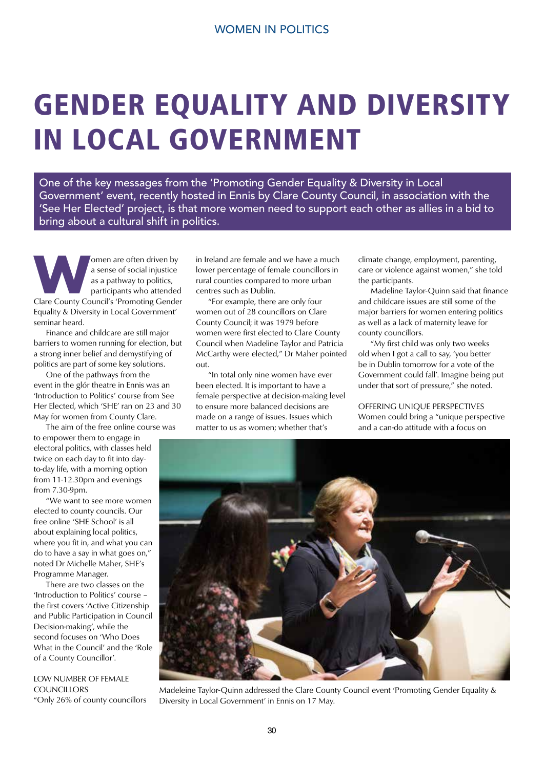## GENDER EQUALITY AND DIVERSITY IN LOCAL GOVERNMENT

One of the key messages from the 'Promoting Gender Equality & Diversity in Local Government' event, recently hosted in Ennis by Clare County Council, in association with the 'See Her Elected' project, is that more women need to support each other as allies in a bid to bring about a cultural shift in politics.

**WEDNET ACCES**<br> **Clare County Council's 'Promoting Gender**<br> **Clare County Council's 'Promoting Gender** a sense of social injustice as a pathway to politics, participants who attended Equality & Diversity in Local Government' seminar heard.

 Finance and childcare are still major barriers to women running for election, but a strong inner belief and demystifying of politics are part of some key solutions.

 One of the pathways from the event in the glór theatre in Ennis was an 'Introduction to Politics' course from See Her Elected, which 'SHE' ran on 23 and 30 May for women from County Clare.

 The aim of the free online course was to empower them to engage in electoral politics, with classes held twice on each day to fit into dayto-day life, with a morning option from 11-12.30pm and evenings from 7.30-9pm.

 "We want to see more women elected to county councils. Our free online 'SHE School' is all about explaining local politics, where you fit in, and what you can do to have a say in what goes on," noted Dr Michelle Maher, SHE's Programme Manager.

 There are two classes on the 'Introduction to Politics' course – the first covers 'Active Citizenship and Public Participation in Council Decision-making', while the second focuses on 'Who Does What in the Council' and the 'Role of a County Councillor'.

LOW NUMBER OF FEMALE **COUNCILLORS** 

"Only 26% of county councillors

in Ireland are female and we have a much lower percentage of female councillors in rural counties compared to more urban centres such as Dublin.

 "For example, there are only four women out of 28 councillors on Clare County Council; it was 1979 before women were first elected to Clare County Council when Madeline Taylor and Patricia McCarthy were elected," Dr Maher pointed out.

 "In total only nine women have ever been elected. It is important to have a female perspective at decision-making level to ensure more balanced decisions are made on a range of issues. Issues which matter to us as women; whether that's

climate change, employment, parenting, care or violence against women," she told the participants.

 Madeline Taylor-Quinn said that finance and childcare issues are still some of the major barriers for women entering politics as well as a lack of maternity leave for county councillors.

 "My first child was only two weeks old when I got a call to say, 'you better be in Dublin tomorrow for a vote of the Government could fall'. Imagine being put under that sort of pressure," she noted.

OFFERING UNIQUE PERSPECTIVES Women could bring a "unique perspective and a can-do attitude with a focus on



Madeleine Taylor-Quinn addressed the Clare County Council event 'Promoting Gender Equality & Diversity in Local Government' in Ennis on 17 May.